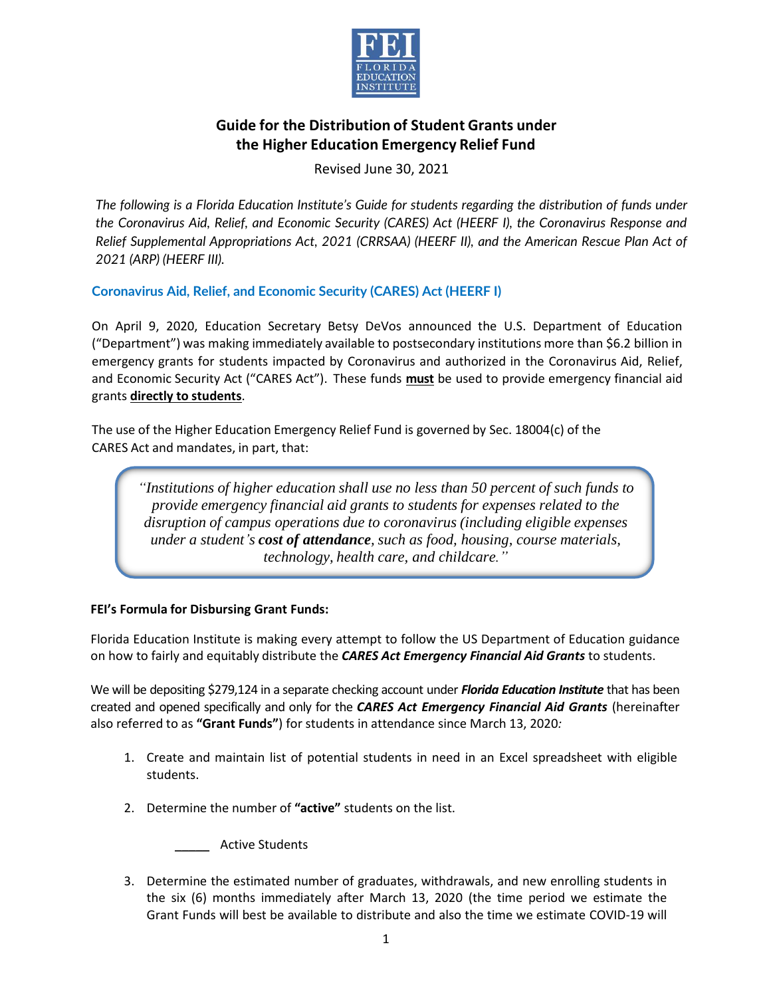

Revised June 30, 2021

*The following is a Florida Education Institute's Guide for students regarding the distribution of funds under the Coronavirus Aid, Relief, and Economic Security (CARES) Act (HEERF I), the Coronavirus Response and Relief Supplemental Appropriations Act, 2021 (CRRSAA) (HEERF II), and the American Rescue Plan Act of 2021 (ARP) (HEERF III).*

**Coronavirus Aid, Relief, and Economic Security (CARES) Act (HEERF I)**

On April 9, 2020, Education Secretary Betsy DeVos announced the U.S. Department of Education ("Department") was making immediately available to postsecondary institutions more than \$6.2 billion in emergency grants for students impacted by Coronavirus and authorized in the Coronavirus Aid, Relief, and Economic Security Act ("CARES Act"). These funds **must** be used to provide emergency financial aid grants **directly to students**.

The use of the Higher Education Emergency Relief Fund is governed by Sec. 18004(c) of the CARES Act and mandates, in part, that:

*"Institutions of higher education shall use no less than 50 percent of such funds to provide emergency financial aid grants to students for expenses related to the disruption of campus operations due to coronavirus (including eligible expenses under a student's cost of attendance, such as food, housing, course materials, technology, health care, and childcare."*

### **FEI's Formula for Disbursing Grant Funds:**

Florida Education Institute is making every attempt to follow the US Department of Education guidance on how to fairly and equitably distribute the *CARES Act Emergency Financial Aid Grants* to students.

We will be depositing \$279,124 in a separate checking account under *Florida Education Institute* that has been created and opened specifically and only for the *CARES Act Emergency Financial Aid Grants* (hereinafter also referred to as **"Grant Funds"**) for students in attendance since March 13, 2020*:*

- 1. Create and maintain list of potential students in need in an Excel spreadsheet with eligible students.
- 2. Determine the number of **"active"** students on the list.

\_\_\_\_\_ Active Students

3. Determine the estimated number of graduates, withdrawals, and new enrolling students in the six (6) months immediately after March 13, 2020 (the time period we estimate the Grant Funds will best be available to distribute and also the time we estimate COVID-19 will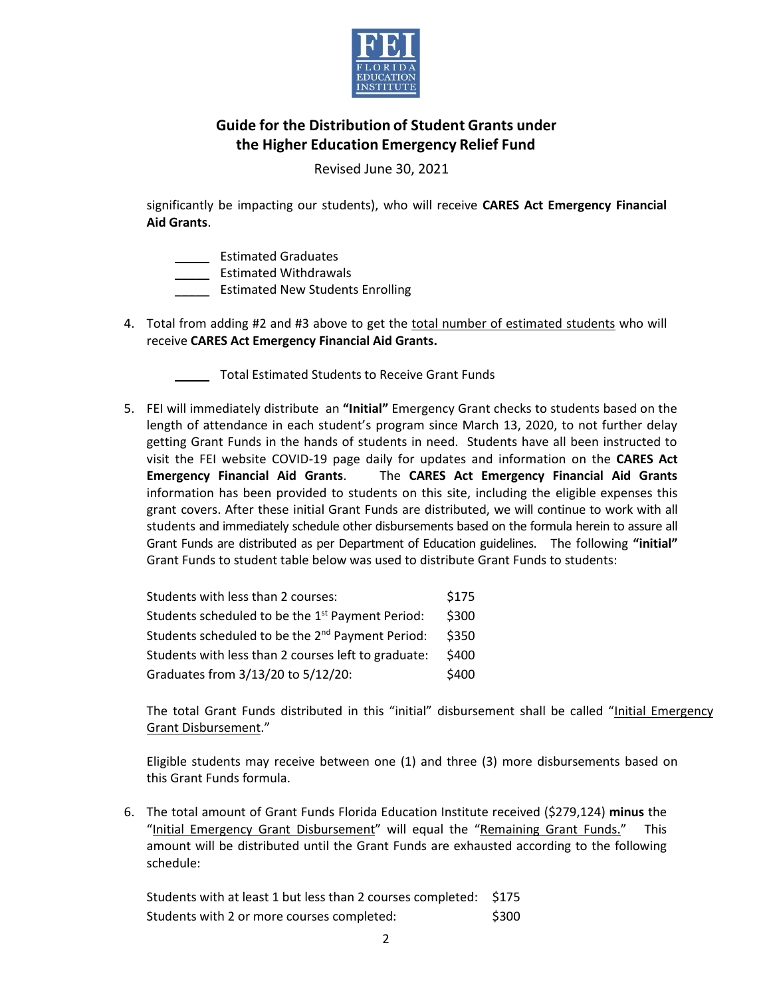

Revised June 30, 2021

significantly be impacting our students), who will receive **CARES Act Emergency Financial Aid Grants**.

\_\_\_\_\_ Estimated Graduates

\_\_\_\_\_ Estimated Withdrawals

\_\_\_\_\_ Estimated New Students Enrolling

- 4. Total from adding #2 and #3 above to get the total number of estimated students who will receive **CARES Act Emergency Financial Aid Grants.**
	- \_\_\_\_\_ Total Estimated Students to Receive Grant Funds
- 5. FEI will immediately distribute an **"Initial"** Emergency Grant checks to students based on the length of attendance in each student's program since March 13, 2020, to not further delay getting Grant Funds in the hands of students in need. Students have all been instructed to visit the FEI website COVID-19 page daily for updates and information on the **CARES Act Emergency Financial Aid Grants**.The **CARES Act Emergency Financial Aid Grants** information has been provided to students on this site, including the eligible expenses this grant covers. After these initial Grant Funds are distributed, we will continue to work with all students and immediately schedule other disbursements based on the formula herein to assure all Grant Funds are distributed as per Department of Education guidelines. The following **"initial"**  Grant Funds to student table below was used to distribute Grant Funds to students:

| Students with less than 2 courses:                           | \$175 |
|--------------------------------------------------------------|-------|
| Students scheduled to be the 1 <sup>st</sup> Payment Period: | \$300 |
| Students scheduled to be the 2 <sup>nd</sup> Payment Period: | \$350 |
| Students with less than 2 courses left to graduate:          | \$400 |
| Graduates from 3/13/20 to 5/12/20:                           | \$400 |

The total Grant Funds distributed in this "initial" disbursement shall be called "Initial Emergency Grant Disbursement."

Eligible students may receive between one (1) and three (3) more disbursements based on this Grant Funds formula.

6. The total amount of Grant Funds Florida Education Institute received (\$279,124) **minus** the "Initial Emergency Grant Disbursement" will equal the "Remaining Grant Funds." This amount will be distributed until the Grant Funds are exhausted according to the following schedule:

Students with at least 1 but less than 2 courses completed: \$175 Students with 2 or more courses completed:  $\frac{1}{300}$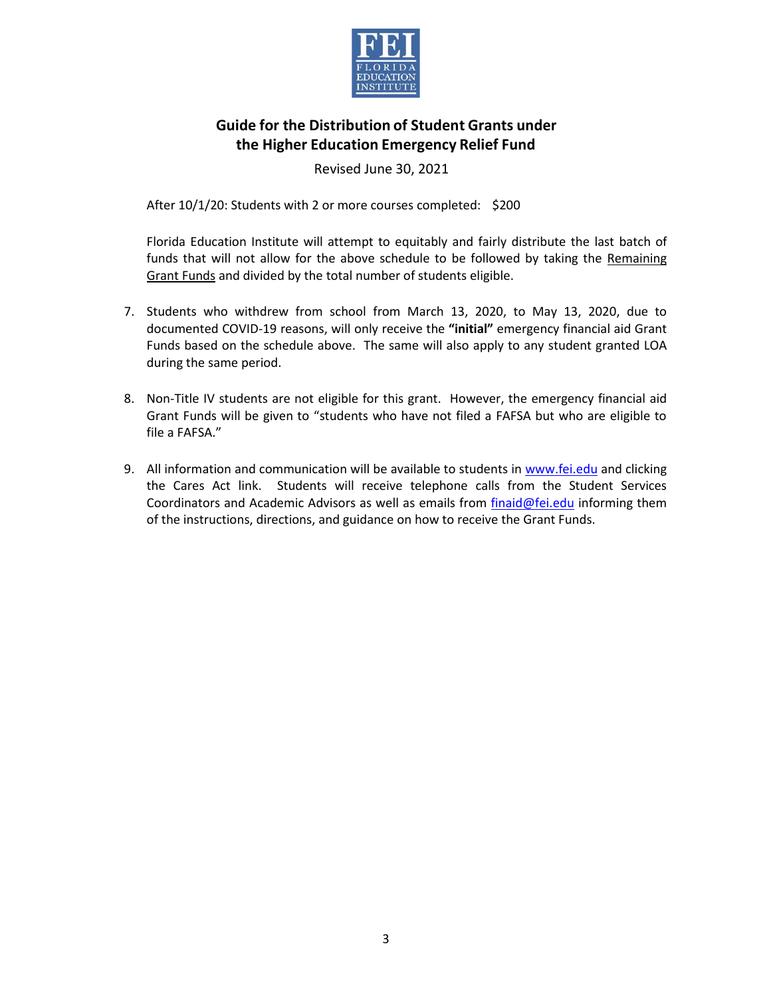

Revised June 30, 2021

After 10/1/20: Students with 2 or more courses completed: \$200

Florida Education Institute will attempt to equitably and fairly distribute the last batch of funds that will not allow for the above schedule to be followed by taking the Remaining Grant Funds and divided by the total number of students eligible.

- 7. Students who withdrew from school from March 13, 2020, to May 13, 2020, due to documented COVID-19 reasons, will only receive the **"initial"** emergency financial aid Grant Funds based on the schedule above. The same will also apply to any student granted LOA during the same period.
- 8. Non-Title IV students are not eligible for this grant. However, the emergency financial aid Grant Funds will be given to "students who have not filed a FAFSA but who are eligible to file a FAFSA."
- 9. All information and communication will be available to students in [www.fei.edu](http://www.fei.edu/) and clicking the Cares Act link. Students will receive telephone calls from the Student Services Coordinators and Academic Advisors as well as emails from [finaid@fei.edu](mailto:finaid@fei.edu) informing them of the instructions, directions, and guidance on how to receive the Grant Funds.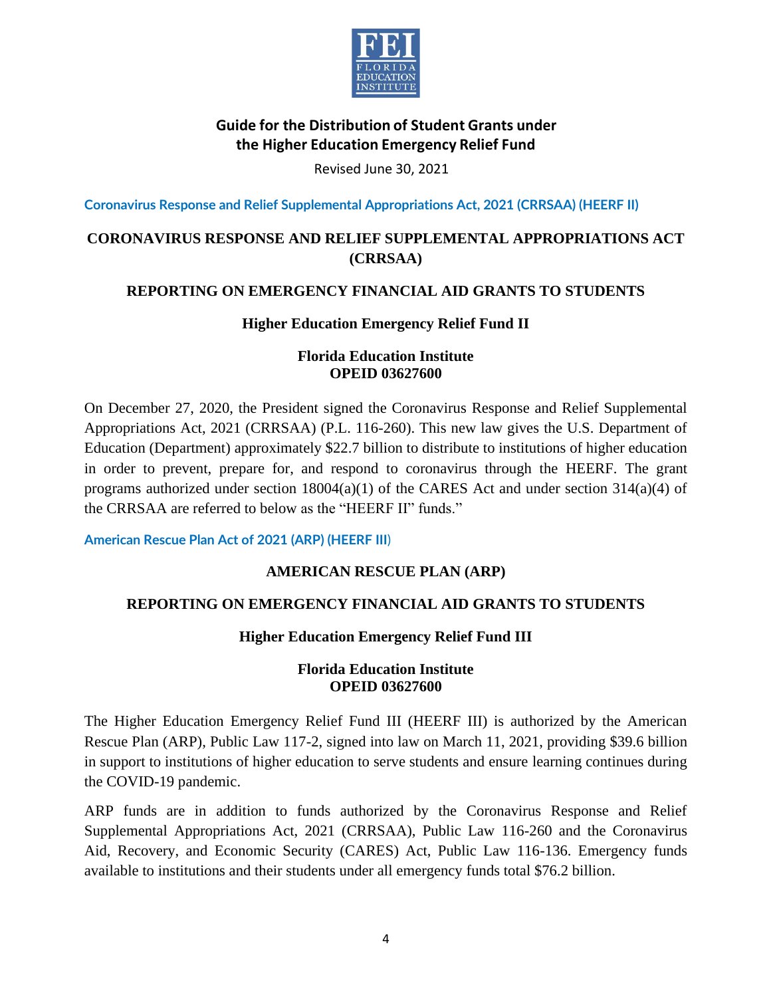

Revised June 30, 2021

**Coronavirus Response and Relief Supplemental Appropriations Act, 2021 (CRRSAA) (HEERF II)**

# **CORONAVIRUS RESPONSE AND RELIEF SUPPLEMENTAL APPROPRIATIONS ACT (CRRSAA)**

### **REPORTING ON EMERGENCY FINANCIAL AID GRANTS TO STUDENTS**

### **Higher Education Emergency Relief Fund II**

### **Florida Education Institute OPEID 03627600**

On December 27, 2020, the President signed the Coronavirus Response and Relief Supplemental Appropriations Act, 2021 (CRRSAA) (P.L. 116-260). This new law gives the U.S. Department of Education (Department) approximately \$22.7 billion to distribute to institutions of higher education in order to prevent, prepare for, and respond to coronavirus through the HEERF. The grant programs authorized under section  $18004(a)(1)$  of the CARES Act and under section  $314(a)(4)$  of the CRRSAA are referred to below as the "HEERF II" funds."

**American Rescue Plan Act of 2021 (ARP) (HEERF III**)

## **AMERICAN RESCUE PLAN (ARP)**

### **REPORTING ON EMERGENCY FINANCIAL AID GRANTS TO STUDENTS**

### **Higher Education Emergency Relief Fund III**

### **Florida Education Institute OPEID 03627600**

The Higher Education Emergency Relief Fund III (HEERF III) is authorized by the American Rescue Plan (ARP), Public Law 117-2, signed into law on March 11, 2021, providing \$39.6 billion in support to institutions of higher education to serve students and ensure learning continues during the COVID-19 pandemic.

ARP funds are in addition to funds authorized by the Coronavirus Response and Relief Supplemental Appropriations Act, 2021 (CRRSAA), Public Law 116-260 and the Coronavirus Aid, Recovery, and Economic Security (CARES) Act, Public Law 116-136. Emergency funds available to institutions and their students under all emergency funds total \$76.2 billion.